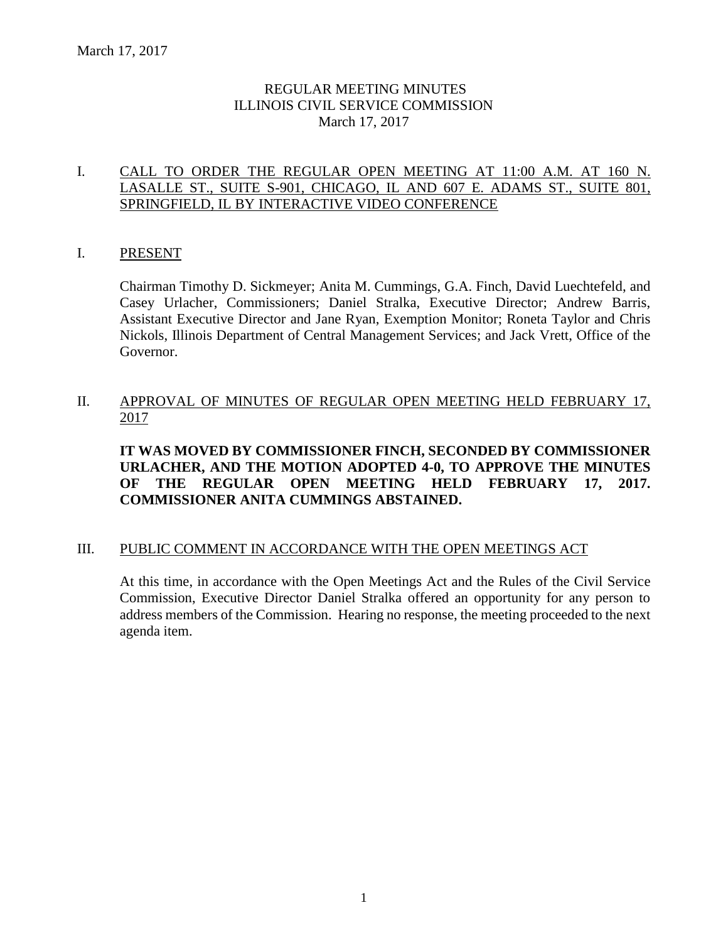## REGULAR MEETING MINUTES ILLINOIS CIVIL SERVICE COMMISSION March 17, 2017

## I. CALL TO ORDER THE REGULAR OPEN MEETING AT 11:00 A.M. AT 160 N. LASALLE ST., SUITE S-901, CHICAGO, IL AND 607 E. ADAMS ST., SUITE 801, SPRINGFIELD, IL BY INTERACTIVE VIDEO CONFERENCE

## I. PRESENT

Chairman Timothy D. Sickmeyer; Anita M. Cummings, G.A. Finch, David Luechtefeld, and Casey Urlacher, Commissioners; Daniel Stralka, Executive Director; Andrew Barris, Assistant Executive Director and Jane Ryan, Exemption Monitor; Roneta Taylor and Chris Nickols, Illinois Department of Central Management Services; and Jack Vrett, Office of the Governor.

## II. APPROVAL OF MINUTES OF REGULAR OPEN MEETING HELD FEBRUARY 17, 2017

**IT WAS MOVED BY COMMISSIONER FINCH, SECONDED BY COMMISSIONER URLACHER, AND THE MOTION ADOPTED 4-0, TO APPROVE THE MINUTES OF THE REGULAR OPEN MEETING HELD FEBRUARY 17, 2017. COMMISSIONER ANITA CUMMINGS ABSTAINED.**

#### III. PUBLIC COMMENT IN ACCORDANCE WITH THE OPEN MEETINGS ACT

At this time, in accordance with the Open Meetings Act and the Rules of the Civil Service Commission, Executive Director Daniel Stralka offered an opportunity for any person to address members of the Commission. Hearing no response, the meeting proceeded to the next agenda item.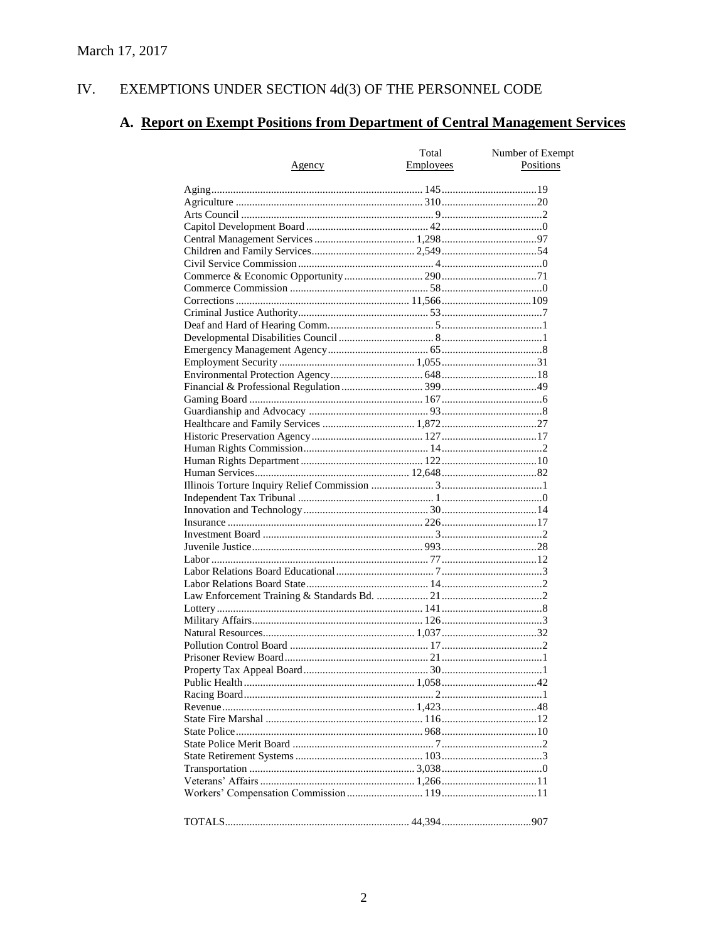#### IV. EXEMPTIONS UNDER SECTION 4d(3) OF THE PERSONNEL CODE

# A. Report on Exempt Positions from Department of Central Management Services

|               | Total     | Number of Exempt |
|---------------|-----------|------------------|
| <u>Agency</u> | Employees | Positions        |
|               |           |                  |
|               |           |                  |
|               |           |                  |
|               |           |                  |
|               |           |                  |
|               |           |                  |
|               |           |                  |
|               |           |                  |
|               |           |                  |
|               |           |                  |
|               |           |                  |
|               |           |                  |
|               |           |                  |
|               |           |                  |
|               |           |                  |
|               |           |                  |
|               |           |                  |
|               |           |                  |
|               |           |                  |
|               |           |                  |
|               |           |                  |
|               |           |                  |
|               |           |                  |
|               |           |                  |
|               |           |                  |
|               |           |                  |
|               |           |                  |
|               |           |                  |
|               |           |                  |
|               |           |                  |
|               |           |                  |
|               |           |                  |
|               |           |                  |
|               |           |                  |
|               |           |                  |
|               |           |                  |
|               |           |                  |
|               |           |                  |
|               |           |                  |
|               |           |                  |
|               |           |                  |
|               |           |                  |
|               |           |                  |
|               |           |                  |
|               |           |                  |
|               |           |                  |
|               |           |                  |
|               |           |                  |
|               |           |                  |
|               |           |                  |
|               |           |                  |
|               |           |                  |
|               |           |                  |
|               |           |                  |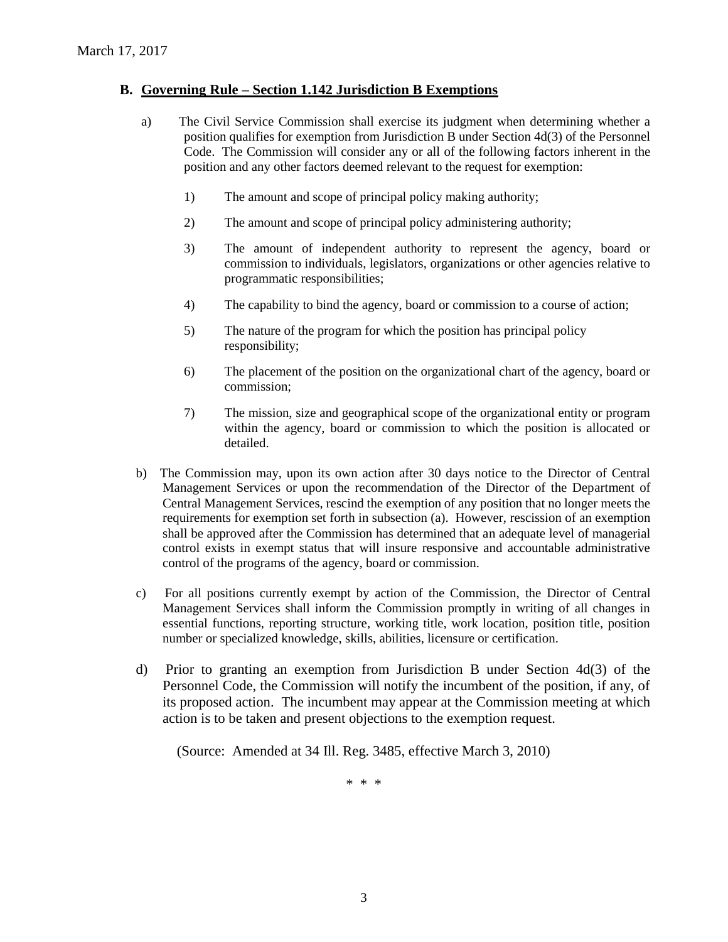## **B. Governing Rule – Section 1.142 Jurisdiction B Exemptions**

- a) The Civil Service Commission shall exercise its judgment when determining whether a position qualifies for exemption from Jurisdiction B under Section 4d(3) of the Personnel Code. The Commission will consider any or all of the following factors inherent in the position and any other factors deemed relevant to the request for exemption:
	- 1) The amount and scope of principal policy making authority;
	- 2) The amount and scope of principal policy administering authority;
	- 3) The amount of independent authority to represent the agency, board or commission to individuals, legislators, organizations or other agencies relative to programmatic responsibilities;
	- 4) The capability to bind the agency, board or commission to a course of action;
	- 5) The nature of the program for which the position has principal policy responsibility;
	- 6) The placement of the position on the organizational chart of the agency, board or commission;
	- 7) The mission, size and geographical scope of the organizational entity or program within the agency, board or commission to which the position is allocated or detailed.
- b) The Commission may, upon its own action after 30 days notice to the Director of Central Management Services or upon the recommendation of the Director of the Department of Central Management Services, rescind the exemption of any position that no longer meets the requirements for exemption set forth in subsection (a). However, rescission of an exemption shall be approved after the Commission has determined that an adequate level of managerial control exists in exempt status that will insure responsive and accountable administrative control of the programs of the agency, board or commission.
- c) For all positions currently exempt by action of the Commission, the Director of Central Management Services shall inform the Commission promptly in writing of all changes in essential functions, reporting structure, working title, work location, position title, position number or specialized knowledge, skills, abilities, licensure or certification.
- d) Prior to granting an exemption from Jurisdiction B under Section 4d(3) of the Personnel Code, the Commission will notify the incumbent of the position, if any, of its proposed action. The incumbent may appear at the Commission meeting at which action is to be taken and present objections to the exemption request.

(Source: Amended at 34 Ill. Reg. 3485, effective March 3, 2010)

\* \* \*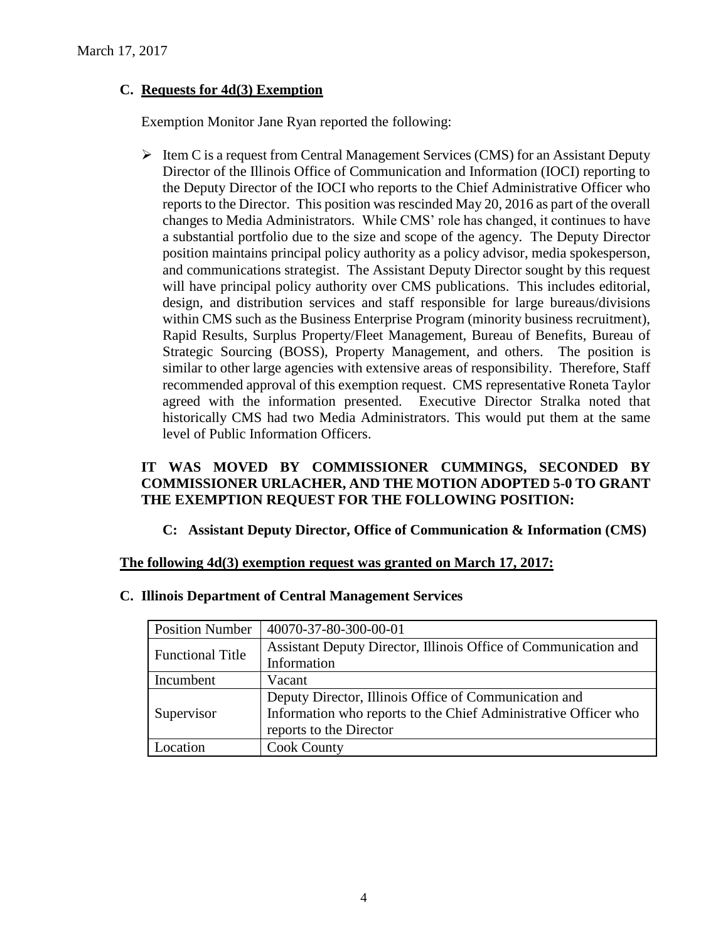## **C. Requests for 4d(3) Exemption**

Exemption Monitor Jane Ryan reported the following:

 $\triangleright$  Item C is a request from Central Management Services (CMS) for an Assistant Deputy Director of the Illinois Office of Communication and Information (IOCI) reporting to the Deputy Director of the IOCI who reports to the Chief Administrative Officer who reports to the Director. This position was rescinded May 20, 2016 as part of the overall changes to Media Administrators. While CMS' role has changed, it continues to have a substantial portfolio due to the size and scope of the agency. The Deputy Director position maintains principal policy authority as a policy advisor, media spokesperson, and communications strategist. The Assistant Deputy Director sought by this request will have principal policy authority over CMS publications. This includes editorial, design, and distribution services and staff responsible for large bureaus/divisions within CMS such as the Business Enterprise Program (minority business recruitment), Rapid Results, Surplus Property/Fleet Management, Bureau of Benefits, Bureau of Strategic Sourcing (BOSS), Property Management, and others. The position is similar to other large agencies with extensive areas of responsibility. Therefore, Staff recommended approval of this exemption request. CMS representative Roneta Taylor agreed with the information presented. Executive Director Stralka noted that historically CMS had two Media Administrators. This would put them at the same level of Public Information Officers.

## **IT WAS MOVED BY COMMISSIONER CUMMINGS, SECONDED BY COMMISSIONER URLACHER, AND THE MOTION ADOPTED 5-0 TO GRANT THE EXEMPTION REQUEST FOR THE FOLLOWING POSITION:**

**C: Assistant Deputy Director, Office of Communication & Information (CMS)**

#### **The following 4d(3) exemption request was granted on March 17, 2017:**

| <b>Position Number</b>  | 40070-37-80-300-00-01                                                          |
|-------------------------|--------------------------------------------------------------------------------|
| <b>Functional Title</b> | Assistant Deputy Director, Illinois Office of Communication and<br>Information |
|                         |                                                                                |
| Incumbent               | Vacant                                                                         |
|                         | Deputy Director, Illinois Office of Communication and                          |
| Supervisor              | Information who reports to the Chief Administrative Officer who                |
|                         | reports to the Director                                                        |
| Location                | <b>Cook County</b>                                                             |

## **C. Illinois Department of Central Management Services**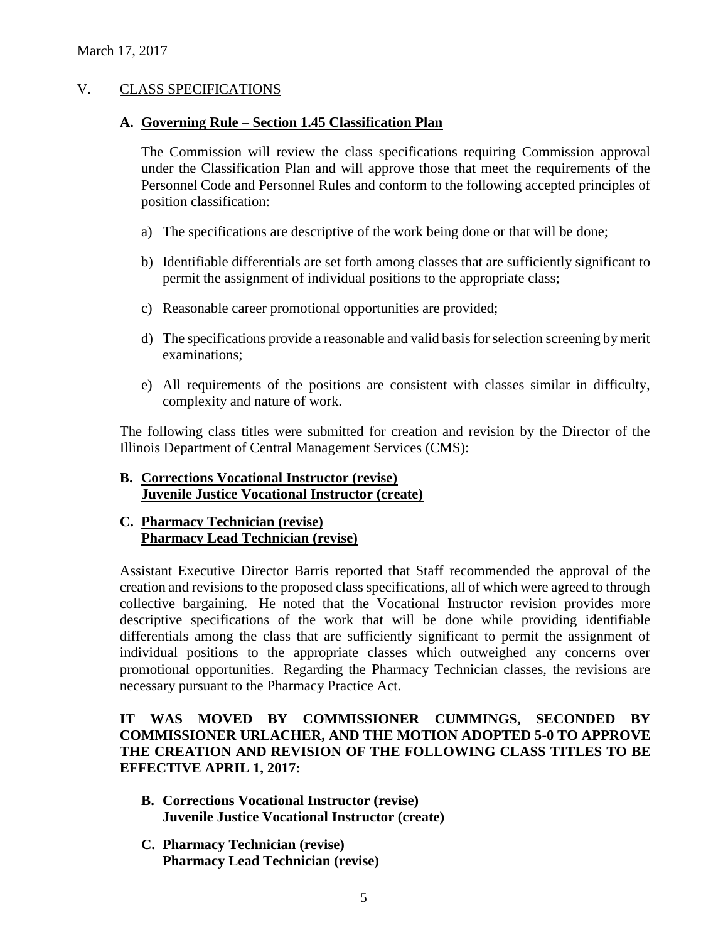## V. CLASS SPECIFICATIONS

#### **A. Governing Rule – Section 1.45 Classification Plan**

The Commission will review the class specifications requiring Commission approval under the Classification Plan and will approve those that meet the requirements of the Personnel Code and Personnel Rules and conform to the following accepted principles of position classification:

- a) The specifications are descriptive of the work being done or that will be done;
- b) Identifiable differentials are set forth among classes that are sufficiently significant to permit the assignment of individual positions to the appropriate class;
- c) Reasonable career promotional opportunities are provided;
- d) The specifications provide a reasonable and valid basis for selection screening by merit examinations;
- e) All requirements of the positions are consistent with classes similar in difficulty, complexity and nature of work.

The following class titles were submitted for creation and revision by the Director of the Illinois Department of Central Management Services (CMS):

#### **B. Corrections Vocational Instructor (revise) Juvenile Justice Vocational Instructor (create)**

## **C. Pharmacy Technician (revise) Pharmacy Lead Technician (revise)**

Assistant Executive Director Barris reported that Staff recommended the approval of the creation and revisions to the proposed class specifications, all of which were agreed to through collective bargaining. He noted that the Vocational Instructor revision provides more descriptive specifications of the work that will be done while providing identifiable differentials among the class that are sufficiently significant to permit the assignment of individual positions to the appropriate classes which outweighed any concerns over promotional opportunities. Regarding the Pharmacy Technician classes, the revisions are necessary pursuant to the Pharmacy Practice Act.

## **IT WAS MOVED BY COMMISSIONER CUMMINGS, SECONDED BY COMMISSIONER URLACHER, AND THE MOTION ADOPTED 5-0 TO APPROVE THE CREATION AND REVISION OF THE FOLLOWING CLASS TITLES TO BE EFFECTIVE APRIL 1, 2017:**

- **B. Corrections Vocational Instructor (revise) Juvenile Justice Vocational Instructor (create)**
- **C. Pharmacy Technician (revise) Pharmacy Lead Technician (revise)**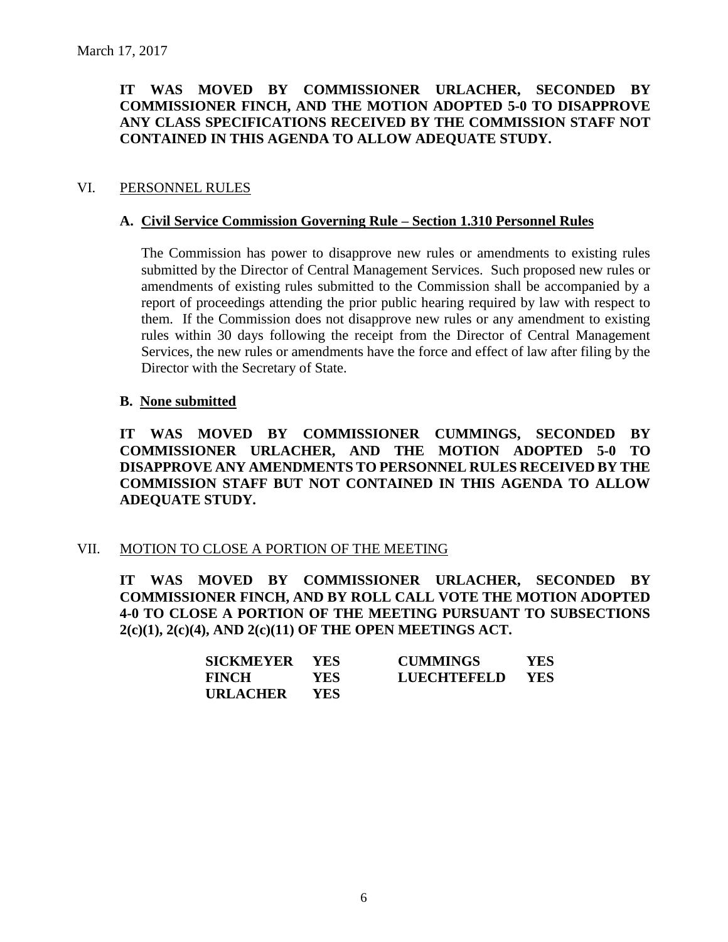## **IT WAS MOVED BY COMMISSIONER URLACHER, SECONDED BY COMMISSIONER FINCH, AND THE MOTION ADOPTED 5-0 TO DISAPPROVE ANY CLASS SPECIFICATIONS RECEIVED BY THE COMMISSION STAFF NOT CONTAINED IN THIS AGENDA TO ALLOW ADEQUATE STUDY.**

## VI. PERSONNEL RULES

#### **A. Civil Service Commission Governing Rule – Section 1.310 Personnel Rules**

The Commission has power to disapprove new rules or amendments to existing rules submitted by the Director of Central Management Services. Such proposed new rules or amendments of existing rules submitted to the Commission shall be accompanied by a report of proceedings attending the prior public hearing required by law with respect to them. If the Commission does not disapprove new rules or any amendment to existing rules within 30 days following the receipt from the Director of Central Management Services, the new rules or amendments have the force and effect of law after filing by the Director with the Secretary of State.

#### **B. None submitted**

**IT WAS MOVED BY COMMISSIONER CUMMINGS, SECONDED BY COMMISSIONER URLACHER, AND THE MOTION ADOPTED 5-0 TO DISAPPROVE ANY AMENDMENTS TO PERSONNEL RULES RECEIVED BY THE COMMISSION STAFF BUT NOT CONTAINED IN THIS AGENDA TO ALLOW ADEQUATE STUDY.** 

#### VII. MOTION TO CLOSE A PORTION OF THE MEETING

**IT WAS MOVED BY COMMISSIONER URLACHER, SECONDED BY COMMISSIONER FINCH, AND BY ROLL CALL VOTE THE MOTION ADOPTED 4-0 TO CLOSE A PORTION OF THE MEETING PURSUANT TO SUBSECTIONS 2(c)(1), 2(c)(4), AND 2(c)(11) OF THE OPEN MEETINGS ACT.**

| SICKMEYER       | <b>YES</b> | <b>CUMMINGS</b>    | YES  |
|-----------------|------------|--------------------|------|
| <b>FINCH</b>    | YES-       | <b>LUECHTEFELD</b> | YES. |
| <b>URLACHER</b> | YES.       |                    |      |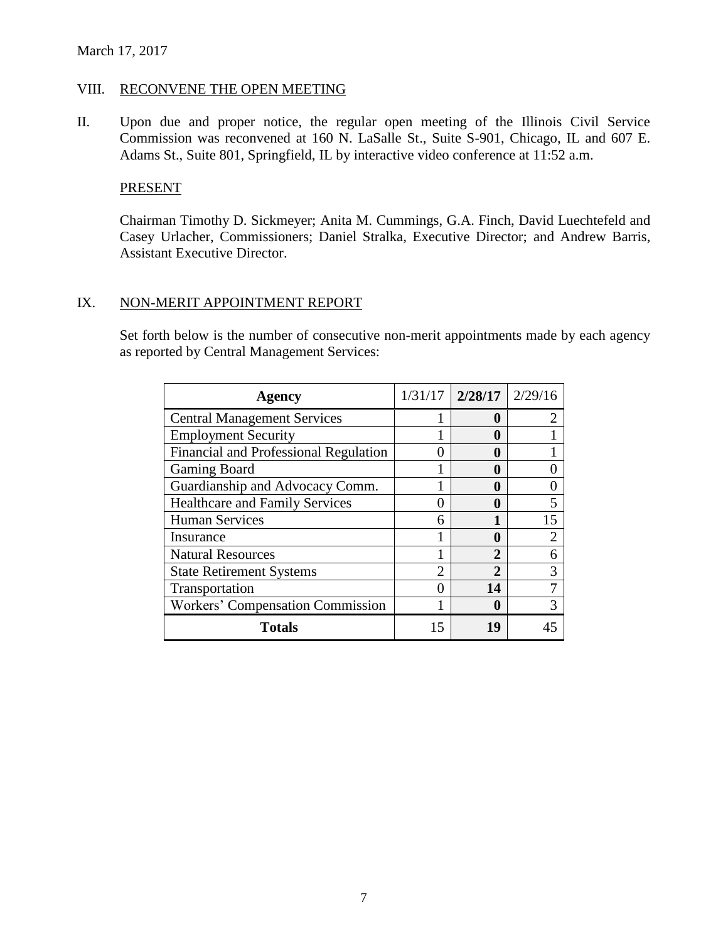#### March 17, 2017

#### VIII. RECONVENE THE OPEN MEETING

II. Upon due and proper notice, the regular open meeting of the Illinois Civil Service Commission was reconvened at 160 N. LaSalle St., Suite S-901, Chicago, IL and 607 E. Adams St., Suite 801, Springfield, IL by interactive video conference at 11:52 a.m.

#### PRESENT

Chairman Timothy D. Sickmeyer; Anita M. Cummings, G.A. Finch, David Luechtefeld and Casey Urlacher, Commissioners; Daniel Stralka, Executive Director; and Andrew Barris, Assistant Executive Director.

#### IX. NON-MERIT APPOINTMENT REPORT

Set forth below is the number of consecutive non-merit appointments made by each agency as reported by Central Management Services:

| <b>Agency</b>                                |               | $1/31/17$   2/28/17   2/29/16 |    |
|----------------------------------------------|---------------|-------------------------------|----|
| <b>Central Management Services</b>           |               | 0                             |    |
| <b>Employment Security</b>                   |               | 0                             |    |
| <b>Financial and Professional Regulation</b> | 0             | 0                             |    |
| <b>Gaming Board</b>                          |               | 0                             |    |
| Guardianship and Advocacy Comm.              |               | 0                             |    |
| <b>Healthcare and Family Services</b>        |               | 0                             |    |
| <b>Human Services</b>                        | 6             |                               | 15 |
| Insurance                                    | 1             | 0                             |    |
| <b>Natural Resources</b>                     |               | $\mathbf{2}$                  |    |
| <b>State Retirement Systems</b>              | $\mathcal{D}$ | っ                             | 3  |
| Transportation                               |               | 14                            |    |
| <b>Workers' Compensation Commission</b>      |               | $\mathbf{0}$                  |    |
| <b>Totals</b>                                | 15            | 19                            |    |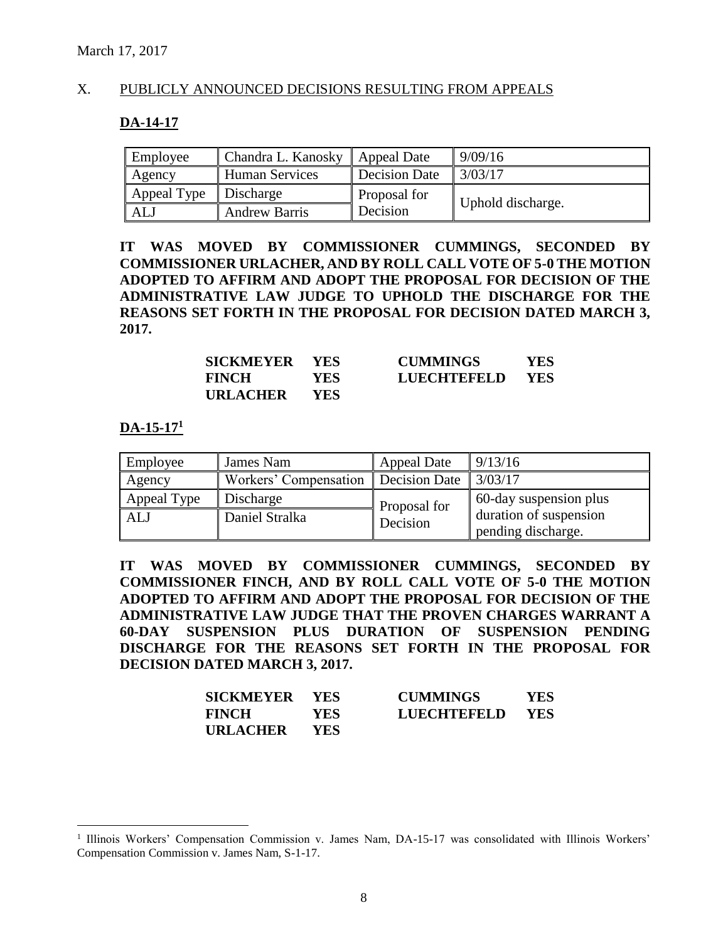## X. PUBLICLY ANNOUNCED DECISIONS RESULTING FROM APPEALS

#### **DA-14-17**

| Employee    | Chandra L. Kanosky   Appeal Date |                     | 9/09/16           |
|-------------|----------------------------------|---------------------|-------------------|
| Agency      | Human Services                   | Decision Date       | 3/03/17           |
| Appeal Type | Discharge                        | <b>Proposal for</b> | Uphold discharge. |
| ALJ         | <b>Andrew Barris</b>             | <b>Decision</b>     |                   |

**IT WAS MOVED BY COMMISSIONER CUMMINGS, SECONDED BY COMMISSIONER URLACHER, AND BY ROLL CALL VOTE OF 5-0 THE MOTION ADOPTED TO AFFIRM AND ADOPT THE PROPOSAL FOR DECISION OF THE ADMINISTRATIVE LAW JUDGE TO UPHOLD THE DISCHARGE FOR THE REASONS SET FORTH IN THE PROPOSAL FOR DECISION DATED MARCH 3, 2017.**

| SICKMEYER       | YES        | <b>CUMMINGS</b>    | YES        |
|-----------------|------------|--------------------|------------|
| <b>FINCH</b>    | <b>YES</b> | <b>LUECHTEFELD</b> | <b>YES</b> |
| <b>URLACHER</b> | YES.       |                    |            |

**DA-15-17<sup>1</sup>**

 $\overline{a}$ 

| Employee    | James Nam                             | <b>Appeal Date</b> | 9/13/16                |
|-------------|---------------------------------------|--------------------|------------------------|
| Agency      | Workers' Compensation   Decision Date |                    | $\frac{3}{03/17}$      |
| Appeal Type | Discharge                             | Proposal for       | 60-day suspension plus |
| ALJ         | Daniel Stralka                        | Decision           | duration of suspension |
|             |                                       |                    | pending discharge.     |

**IT WAS MOVED BY COMMISSIONER CUMMINGS, SECONDED BY COMMISSIONER FINCH, AND BY ROLL CALL VOTE OF 5-0 THE MOTION ADOPTED TO AFFIRM AND ADOPT THE PROPOSAL FOR DECISION OF THE ADMINISTRATIVE LAW JUDGE THAT THE PROVEN CHARGES WARRANT A 60-DAY SUSPENSION PLUS DURATION OF SUSPENSION PENDING DISCHARGE FOR THE REASONS SET FORTH IN THE PROPOSAL FOR DECISION DATED MARCH 3, 2017.**

| SICKMEYER       | <b>YES</b> | <b>CUMMINGS</b>    | <b>YES</b> |
|-----------------|------------|--------------------|------------|
| <b>FINCH</b>    | <b>YES</b> | <b>LUECHTEFELD</b> | <b>YES</b> |
| <b>URLACHER</b> | <b>YES</b> |                    |            |

<sup>&</sup>lt;sup>1</sup> Illinois Workers' Compensation Commission v. James Nam, DA-15-17 was consolidated with Illinois Workers' Compensation Commission v. James Nam, S-1-17.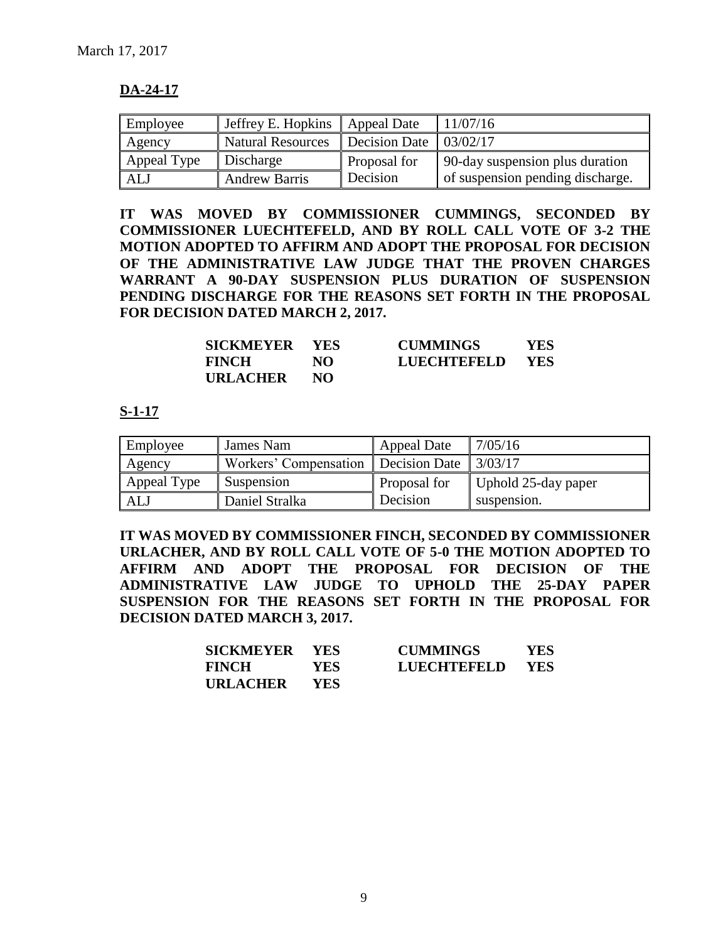## **DA-24-17**

| Employee    | Jeffrey E. Hopkins   Appeal Date             |                     | 11/07/16                         |
|-------------|----------------------------------------------|---------------------|----------------------------------|
| Agency      | Natural Resources   Decision Date   03/02/17 |                     |                                  |
| Appeal Type | Discharge                                    | <b>Proposal for</b> | 90-day suspension plus duration  |
| ALJ         | <b>Andrew Barris</b>                         | Decision            | of suspension pending discharge. |

**IT WAS MOVED BY COMMISSIONER CUMMINGS, SECONDED BY COMMISSIONER LUECHTEFELD, AND BY ROLL CALL VOTE OF 3-2 THE MOTION ADOPTED TO AFFIRM AND ADOPT THE PROPOSAL FOR DECISION OF THE ADMINISTRATIVE LAW JUDGE THAT THE PROVEN CHARGES WARRANT A 90-DAY SUSPENSION PLUS DURATION OF SUSPENSION PENDING DISCHARGE FOR THE REASONS SET FORTH IN THE PROPOSAL FOR DECISION DATED MARCH 2, 2017.**

| SICKMEYER       | <b>YES</b> | <b>CUMMINGS</b>    | YES        |
|-----------------|------------|--------------------|------------|
| <b>FINCH</b>    | NO.        | <b>LUECHTEFELD</b> | <b>YES</b> |
| <b>URLACHER</b> | NO.        |                    |            |

#### **S-1-17**

| Employee    | James Nam                             | Appeal Date         | 7/05/16             |
|-------------|---------------------------------------|---------------------|---------------------|
| Agency      | Workers' Compensation   Decision Date |                     | $\frac{13}{03}/17$  |
| Appeal Type | Suspension                            | <b>Proposal for</b> | Uphold 25-day paper |
| ALJ         | <sup>1</sup> Daniel Stralka           | Decision            | suspension.         |

**IT WAS MOVED BY COMMISSIONER FINCH, SECONDED BY COMMISSIONER URLACHER, AND BY ROLL CALL VOTE OF 5-0 THE MOTION ADOPTED TO AFFIRM AND ADOPT THE PROPOSAL FOR DECISION OF THE ADMINISTRATIVE LAW JUDGE TO UPHOLD THE 25-DAY PAPER SUSPENSION FOR THE REASONS SET FORTH IN THE PROPOSAL FOR DECISION DATED MARCH 3, 2017.**

| <b>SICKMEYER</b> | <b>YES</b> | <b>CUMMINGS</b> | YES. |
|------------------|------------|-----------------|------|
| <b>FINCH</b>     | YES        | LUECHTEFELD     | YES. |
| <b>URLACHER</b>  | YES.       |                 |      |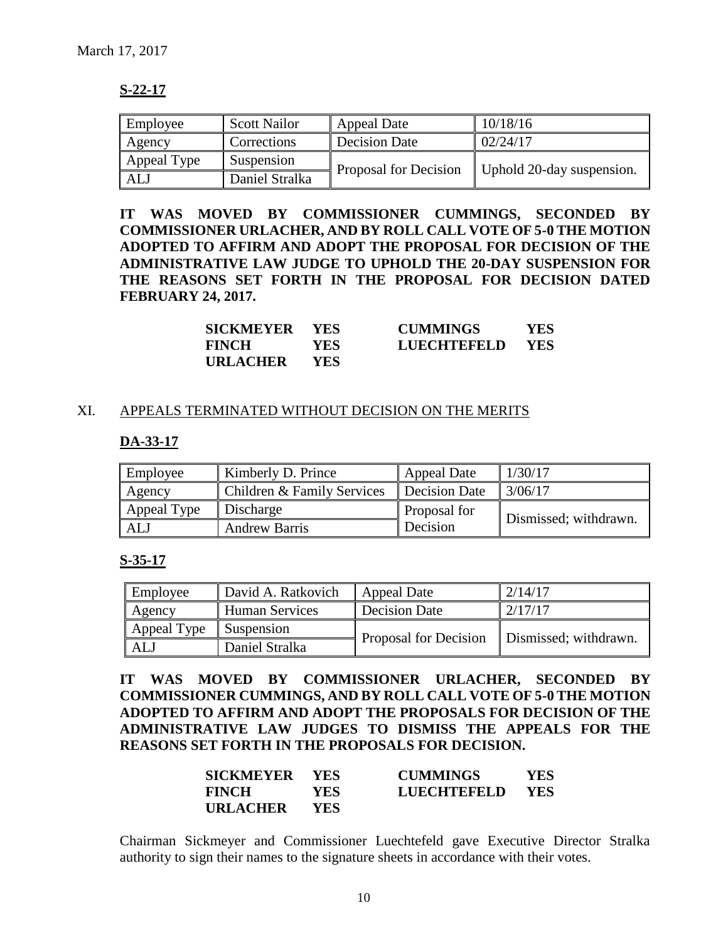## **S-22-17**

| Employee    | <b>Scott Nailor</b> | <b>Appeal Date</b>           | 10/18/16                  |
|-------------|---------------------|------------------------------|---------------------------|
| Agency      | Corrections         | Decision Date                | 02/24/17                  |
| Appeal Type | Suspension          | <b>Proposal for Decision</b> | Uphold 20-day suspension. |
| ALJ         | Daniel Stralka      |                              |                           |

**IT WAS MOVED BY COMMISSIONER CUMMINGS, SECONDED BY COMMISSIONER URLACHER, AND BY ROLL CALL VOTE OF 5-0 THE MOTION ADOPTED TO AFFIRM AND ADOPT THE PROPOSAL FOR DECISION OF THE ADMINISTRATIVE LAW JUDGE TO UPHOLD THE 20-DAY SUSPENSION FOR THE REASONS SET FORTH IN THE PROPOSAL FOR DECISION DATED FEBRUARY 24, 2017.**

| SICKMEYER       | <b>YES</b> | <b>CUMMINGS</b> | <b>YES</b> |
|-----------------|------------|-----------------|------------|
| <b>FINCH</b>    | YES.       | LUECHTEFELD     | <b>YES</b> |
| <b>URLACHER</b> | YES.       |                 |            |

#### XI. APPEALS TERMINATED WITHOUT DECISION ON THE MERITS

#### **DA-33-17**

| Employee    | Kimberly D. Prince                    | <b>Appeal Date</b> | 1/30/17               |
|-------------|---------------------------------------|--------------------|-----------------------|
| Agency      | <b>Children &amp; Family Services</b> | Decision Date      | 3/06/17               |
| Appeal Type | Discharge                             | Proposal for       | Dismissed; withdrawn. |
| ALJ         | <b>Andrew Barris</b>                  | Decision           |                       |

#### **S-35-17**

| Employee    | David A. Ratkovich    | <b>Appeal Date</b>    | 2/14/17               |
|-------------|-----------------------|-----------------------|-----------------------|
| Agency      | <b>Human Services</b> | Decision Date         | 2/17/17               |
| Appeal Type | Suspension            | Proposal for Decision | Dismissed; withdrawn. |
| AL J        | Daniel Stralka        |                       |                       |

**IT WAS MOVED BY COMMISSIONER URLACHER, SECONDED BY COMMISSIONER CUMMINGS, AND BY ROLL CALL VOTE OF 5-0 THE MOTION ADOPTED TO AFFIRM AND ADOPT THE PROPOSALS FOR DECISION OF THE ADMINISTRATIVE LAW JUDGES TO DISMISS THE APPEALS FOR THE REASONS SET FORTH IN THE PROPOSALS FOR DECISION.**

| <b>SICKMEYER</b> | <b>YES</b> | <b>CUMMINGS</b>    | YES        |
|------------------|------------|--------------------|------------|
| <b>FINCH</b>     | YES        | <b>LUECHTEFELD</b> | <b>YES</b> |
| <b>URLACHER</b>  | YES.       |                    |            |

Chairman Sickmeyer and Commissioner Luechtefeld gave Executive Director Stralka authority to sign their names to the signature sheets in accordance with their votes.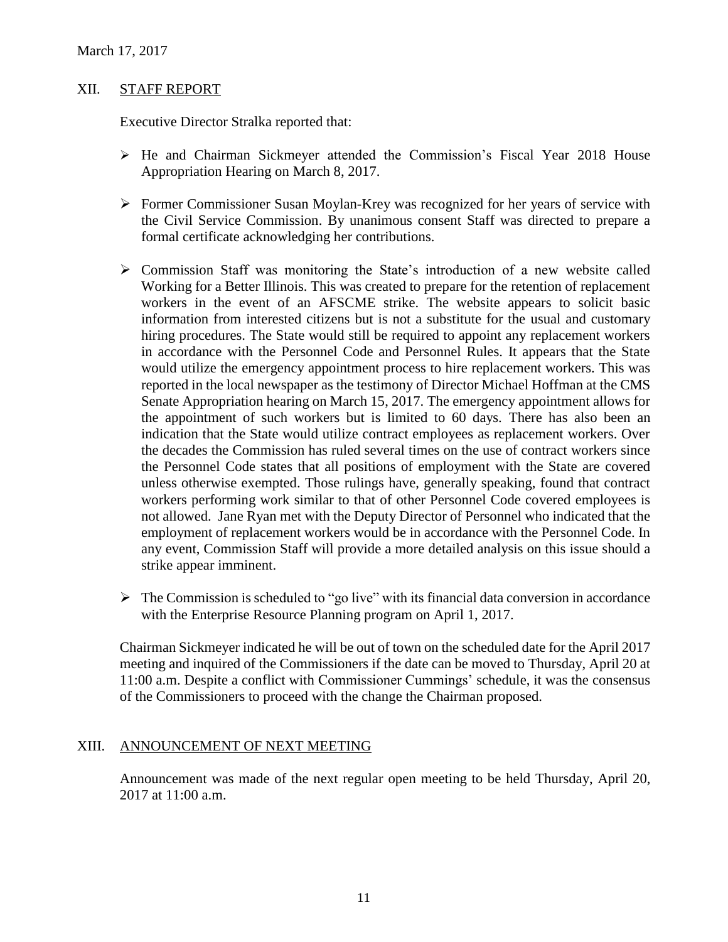#### XII. STAFF REPORT

Executive Director Stralka reported that:

- $\triangleright$  He and Chairman Sickmeyer attended the Commission's Fiscal Year 2018 House Appropriation Hearing on March 8, 2017.
- Former Commissioner Susan Moylan-Krey was recognized for her years of service with the Civil Service Commission. By unanimous consent Staff was directed to prepare a formal certificate acknowledging her contributions.
- $\triangleright$  Commission Staff was monitoring the State's introduction of a new website called Working for a Better Illinois. This was created to prepare for the retention of replacement workers in the event of an AFSCME strike. The website appears to solicit basic information from interested citizens but is not a substitute for the usual and customary hiring procedures. The State would still be required to appoint any replacement workers in accordance with the Personnel Code and Personnel Rules. It appears that the State would utilize the emergency appointment process to hire replacement workers. This was reported in the local newspaper as the testimony of Director Michael Hoffman at the CMS Senate Appropriation hearing on March 15, 2017. The emergency appointment allows for the appointment of such workers but is limited to 60 days. There has also been an indication that the State would utilize contract employees as replacement workers. Over the decades the Commission has ruled several times on the use of contract workers since the Personnel Code states that all positions of employment with the State are covered unless otherwise exempted. Those rulings have, generally speaking, found that contract workers performing work similar to that of other Personnel Code covered employees is not allowed. Jane Ryan met with the Deputy Director of Personnel who indicated that the employment of replacement workers would be in accordance with the Personnel Code. In any event, Commission Staff will provide a more detailed analysis on this issue should a strike appear imminent.
- $\triangleright$  The Commission is scheduled to "go live" with its financial data conversion in accordance with the Enterprise Resource Planning program on April 1, 2017.

Chairman Sickmeyer indicated he will be out of town on the scheduled date for the April 2017 meeting and inquired of the Commissioners if the date can be moved to Thursday, April 20 at 11:00 a.m. Despite a conflict with Commissioner Cummings' schedule, it was the consensus of the Commissioners to proceed with the change the Chairman proposed.

#### XIII. ANNOUNCEMENT OF NEXT MEETING

Announcement was made of the next regular open meeting to be held Thursday, April 20, 2017 at 11:00 a.m.